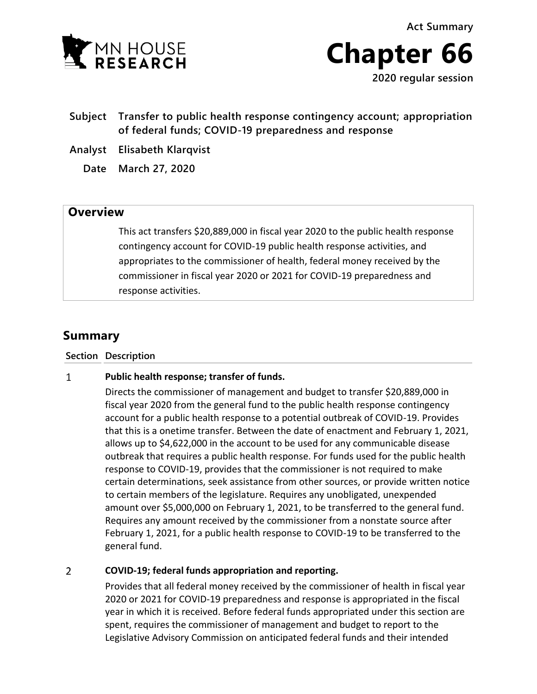**Act Summary**





**2020 regular session**

- **Subject Transfer to public health response contingency account; appropriation of federal funds; COVID-19 preparedness and response**
- **Analyst Elisabeth Klarqvist**
	- **Date March 27, 2020**

## **Overview**

This act transfers \$20,889,000 in fiscal year 2020 to the public health response contingency account for COVID-19 public health response activities, and appropriates to the commissioner of health, federal money received by the commissioner in fiscal year 2020 or 2021 for COVID-19 preparedness and response activities.

# **Summary**

### **Section Description**

#### $\mathbf{1}$ **Public health response; transfer of funds.**

Directs the commissioner of management and budget to transfer \$20,889,000 in fiscal year 2020 from the general fund to the public health response contingency account for a public health response to a potential outbreak of COVID-19. Provides that this is a onetime transfer. Between the date of enactment and February 1, 2021, allows up to \$4,622,000 in the account to be used for any communicable disease outbreak that requires a public health response. For funds used for the public health response to COVID-19, provides that the commissioner is not required to make certain determinations, seek assistance from other sources, or provide written notice to certain members of the legislature. Requires any unobligated, unexpended amount over \$5,000,000 on February 1, 2021, to be transferred to the general fund. Requires any amount received by the commissioner from a nonstate source after February 1, 2021, for a public health response to COVID-19 to be transferred to the general fund.

#### $\overline{2}$ **COVID-19; federal funds appropriation and reporting.**

Provides that all federal money received by the commissioner of health in fiscal year 2020 or 2021 for COVID-19 preparedness and response is appropriated in the fiscal year in which it is received. Before federal funds appropriated under this section are spent, requires the commissioner of management and budget to report to the Legislative Advisory Commission on anticipated federal funds and their intended